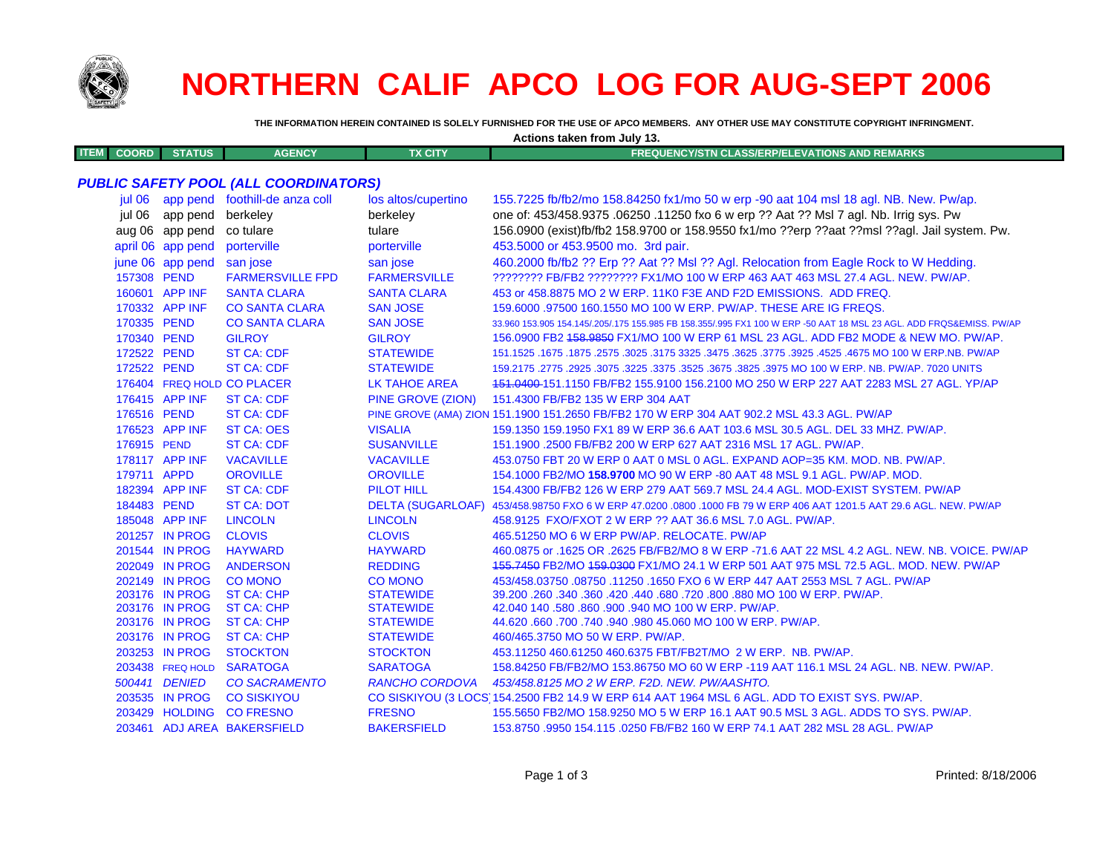

Π

# **NORTHERN CALIF APCO LOG FOR AUG-SEPT 2006**

THE INFORMATION HEREIN CONTAINED IS SOLELY FURNISHED FOR THE USE OF APCO MEMBERS. ANY OTHER USE MAY CONSTITUTE COPYRIGHT INFRINGMENT.

| Actions taken from July 13. |                   |                                              |                          |                                                                                                                     |  |  |
|-----------------------------|-------------------|----------------------------------------------|--------------------------|---------------------------------------------------------------------------------------------------------------------|--|--|
| <b>ITEM</b><br><b>COORD</b> | <b>STATUS</b>     | <b>AGENCY</b>                                | <b>TX CITY</b>           | <b>FREQUENCY/STN CLASS/ERP/ELEVATIONS AND REMARKS</b>                                                               |  |  |
|                             |                   |                                              |                          |                                                                                                                     |  |  |
|                             |                   | <b>PUBLIC SAFETY POOL (ALL COORDINATORS)</b> |                          |                                                                                                                     |  |  |
| iul 06                      |                   | app pend foothill-de anza coll               | los altos/cupertino      | 155.7225 fb/fb2/mo 158.84250 fx1/mo 50 w erp -90 aat 104 msl 18 agl. NB. New. Pw/ap.                                |  |  |
| jul 06                      | app pend          | berkeley                                     | berkeley                 | one of: 453/458.9375 .06250 .11250 fxo 6 w erp ?? Aat ?? Msl 7 agl. Nb. Irrig sys. Pw                               |  |  |
|                             | aug 06 app pend   | co tulare                                    | tulare                   | 156.0900 (exist)fb/fb2 158.9700 or 158.9550 fx1/mo ??erp ??aat ??msl ??agl. Jail system. Pw.                        |  |  |
|                             | april 06 app pend | porterville                                  | porterville              | 453.5000 or 453.9500 mo. 3rd pair.                                                                                  |  |  |
|                             | june 06 app pend  | san jose                                     | san jose                 | 460.2000 fb/fb2 ?? Erp ?? Aat ?? Msl ?? Agl. Relocation from Eagle Rock to W Hedding.                               |  |  |
| 157308 PEND                 |                   | <b>FARMERSVILLE FPD</b>                      | <b>FARMERSVILLE</b>      | ???????? FB/FB2 ???????? FX1/MO 100 W ERP 463 AAT 463 MSL 27.4 AGL. NEW. PW/AP.                                     |  |  |
|                             | 160601 APP INF    | <b>SANTA CLARA</b>                           | <b>SANTA CLARA</b>       | 453 or 458,8875 MO 2 W ERP, 11K0 F3E AND F2D EMISSIONS. ADD FREQ.                                                   |  |  |
|                             | 170332 APP INF    | <b>CO SANTA CLARA</b>                        | <b>SAN JOSE</b>          | 159,6000 .97500 160,1550 MO 100 W ERP, PW/AP, THESE ARE IG FREQS.                                                   |  |  |
| 170335 PEND                 |                   | <b>CO SANTA CLARA</b>                        | <b>SAN JOSE</b>          | 33.960 153.905 154.145/.205/.175 155.985 FB 158.355/.995 FX1 100 W ERP -50 AAT 18 MSL 23 AGL. ADD FRQS&EMISS, PW/AP |  |  |
| 170340 PEND                 |                   | <b>GILROY</b>                                | <b>GILROY</b>            | 156.0900 FB2 158.9850 FX1/MO 100 W ERP 61 MSL 23 AGL. ADD FB2 MODE & NEW MO. PW/AP.                                 |  |  |
| 172522 PEND                 |                   | <b>ST CA: CDF</b>                            | <b>STATEWIDE</b>         | 151.1525 .1675 MO 100 W ERP.NB. PW/AP 325. 3175 3325 .3475 .3625 .3625 .3625 .3625 .1675 MO 100 W ERP.NB. PW/AP     |  |  |
| 172522 PEND                 |                   | <b>ST CA: CDF</b>                            | <b>STATEWIDE</b>         | 159.2175 .2775 .2925 .3075 .3225 .3375 .3525 .3675 .3825 .3975 MO 100 W ERP. NB. PW/AP. 7020 UNITS                  |  |  |
|                             |                   | 176404 FREQ HOLD CO PLACER                   | <b>LK TAHOE AREA</b>     | 151.0400-151.1150 FB/FB2 155.9100 156.2100 MO 250 W ERP 227 AAT 2283 MSL 27 AGL. YP/AP                              |  |  |
|                             | 176415 APP INF    | <b>ST CA: CDF</b>                            | PINE GROVE (ZION)        | 151.4300 FB/FB2 135 W ERP 304 AAT                                                                                   |  |  |
| 176516 PEND                 |                   | <b>ST CA: CDF</b>                            |                          | PINE GROVE (AMA) ZION 151.1900 151.2650 FB/FB2 170 W ERP 304 AAT 902.2 MSL 43.3 AGL. PW/AP                          |  |  |
|                             | 176523 APP INF    | ST CA: OES                                   | <b>VISALIA</b>           | 159.1350 159.1950 FX1 89 W ERP 36.6 AAT 103.6 MSL 30.5 AGL. DEL 33 MHZ. PW/AP.                                      |  |  |
| 176915 PEND                 |                   | <b>ST CA: CDF</b>                            | <b>SUSANVILLE</b>        | 151.1900 .2500 FB/FB2 200 W ERP 627 AAT 2316 MSL 17 AGL, PW/AP.                                                     |  |  |
|                             | 178117 APP INF    | <b>VACAVILLE</b>                             | <b>VACAVILLE</b>         | 453.0750 FBT 20 W ERP 0 AAT 0 MSL 0 AGL. EXPAND AOP=35 KM. MOD. NB. PW/AP.                                          |  |  |
| 179711 APPD                 |                   | <b>OROVILLE</b>                              | <b>OROVILLE</b>          | 154.1000 FB2/MO 158.9700 MO 90 W ERP -80 AAT 48 MSL 9.1 AGL. PW/AP. MOD.                                            |  |  |
|                             | 182394 APP INF    | <b>ST CA: CDF</b>                            | <b>PILOT HILL</b>        | 154,4300 FB/FB2 126 W ERP 279 AAT 569.7 MSL 24.4 AGL. MOD-EXIST SYSTEM, PW/AP                                       |  |  |
| 184483 PEND                 |                   | <b>ST CA: DOT</b>                            | <b>DELTA (SUGARLOAF)</b> | 453/458.98750 FXO 6 W ERP 47.0200 .0800 .1000 FB 79 W ERP 406 AAT 1201.5 AAT 29.6 AGL. NEW. PW/AP                   |  |  |
|                             | 185048 APP INF    | <b>LINCOLN</b>                               | <b>LINCOLN</b>           | 458.9125 FXO/FXOT 2 W ERP ?? AAT 36.6 MSL 7.0 AGL. PW/AP.                                                           |  |  |
|                             | 201257 IN PROG    | <b>CLOVIS</b>                                | <b>CLOVIS</b>            | 465.51250 MO 6 W ERP PW/AP. RELOCATE. PW/AP                                                                         |  |  |
|                             | 201544 IN PROG    | <b>HAYWARD</b>                               | <b>HAYWARD</b>           | 460.0875 or .1625 OR .2625 FB/FB2/MO 8 W ERP -71.6 AAT 22 MSL 4.2 AGL. NEW. NB. VOICE. PW/AP                        |  |  |
|                             | 202049 IN PROG    | <b>ANDERSON</b>                              | <b>REDDING</b>           | 455.7450 FB2/MO 459.0300 FX1/MO 24.1 W ERP 501 AAT 975 MSL 72.5 AGL. MOD. NEW. PW/AP                                |  |  |
|                             | 202149 IN PROG    | <b>CO MONO</b>                               | <b>CO MONO</b>           | 453/458.03750 .08750 .11250 .1650 FXO 6 W ERP 447 AAT 2553 MSL 7 AGL. PW/AP                                         |  |  |
|                             | 203176 IN PROG    | <b>ST CA: CHP</b>                            | <b>STATEWIDE</b>         | 39.200 .260 .340 .360 .420 .440 .680 .720 .800 .880 MO 100 W ERP. PW/AP.                                            |  |  |
|                             | 203176 IN PROG    | <b>ST CA: CHP</b>                            | <b>STATEWIDE</b>         | 42.040 140 .580 .860 .900 .940 MO 100 W ERP. PW/AP.                                                                 |  |  |
|                             | 203176 IN PROG    | ST CA: CHP                                   | <b>STATEWIDE</b>         | 44.620 .660 .700 .740 .940 .980 45.060 MO 100 W ERP. PW/AP.                                                         |  |  |
|                             | 203176 IN PROG    | <b>ST CA: CHP</b>                            | <b>STATEWIDE</b>         | 460/465.3750 MO 50 W ERP. PW/AP.                                                                                    |  |  |
|                             | 203253 IN PROG    | <b>STOCKTON</b>                              | <b>STOCKTON</b>          | 453.11250 460.61250 460.6375 FBT/FB2T/MO 2 W ERP. NB. PW/AP.                                                        |  |  |
|                             | 203438 FREQ HOLD  | <b>SARATOGA</b>                              | <b>SARATOGA</b>          | 158.84250 FB/FB2/MO 153.86750 MO 60 W ERP -119 AAT 116.1 MSL 24 AGL. NB. NEW. PW/AP.                                |  |  |
|                             | 500441 DENIED     | <b>CO SACRAMENTO</b>                         | <b>RANCHO CORDOVA</b>    | 453/458.8125 MO 2 W ERP. F2D. NEW. PW/AASHTO.                                                                       |  |  |
|                             | 203535 IN PROG    | <b>CO SISKIYOU</b>                           |                          | CO SISKIYOU (3 LOCS 154.2500 FB2 14.9 W ERP 614 AAT 1964 MSL 6 AGL. ADD TO EXIST SYS. PW/AP.                        |  |  |
|                             | 203429 HOLDING    | <b>CO FRESNO</b>                             | <b>FRESNO</b>            | 155.5650 FB2/MO 158.9250 MO 5 W ERP 16.1 AAT 90.5 MSL 3 AGL. ADDS TO SYS. PW/AP.                                    |  |  |

203461 ADJ AREA BAKERSFIELD **BAKERSFIELD** 153,8750,9950,154,115,0250 FB/FB2 160 W ERP 74.1 AAT 282 MSL 28 AGL, PW/AP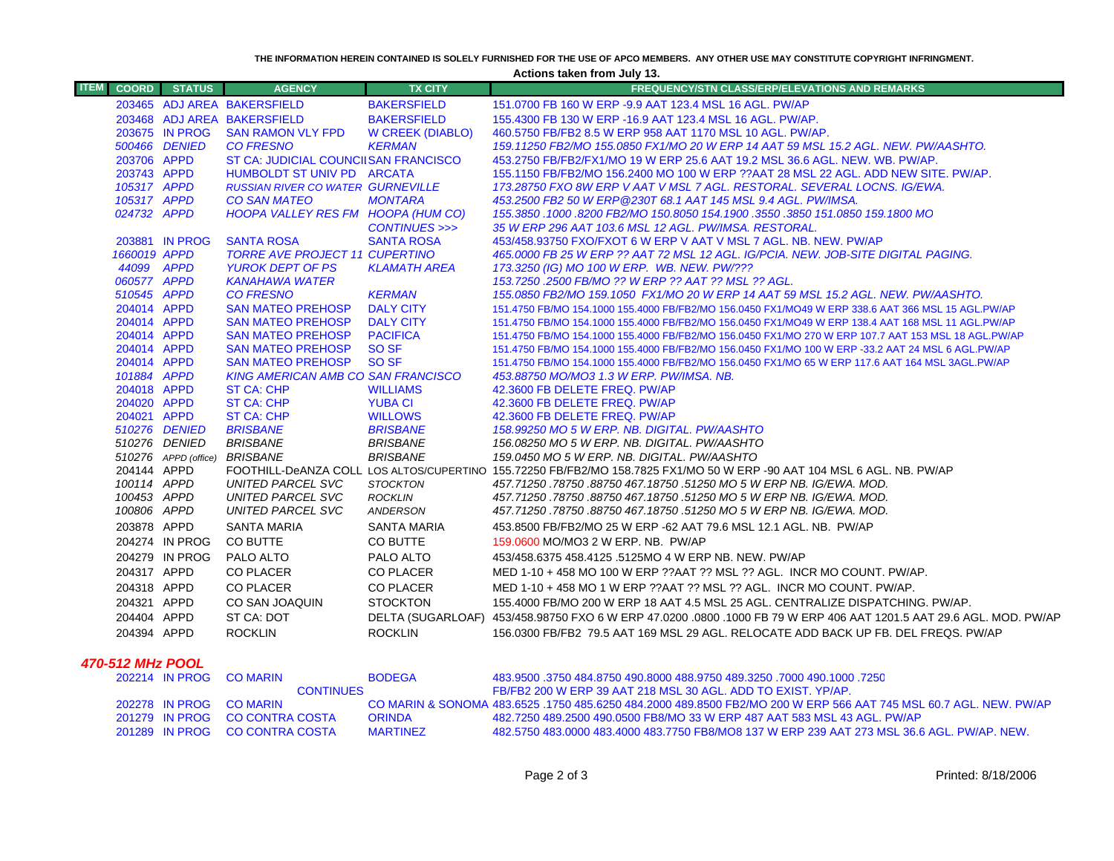**THE INFORMATION HEREIN CONTAINED IS SOLELY FURNISHED FOR THE USE OF APCO MEMBERS. ANY OTHER USE MAY CONSTITUTE COPYRIGHT INFRINGMENT.**

**Actions taken from July 13.**

| <b>ITEM</b><br><b>COORD</b> | <b>STATUS</b>  | <b>AGENCY</b>                                                         | <b>TX CITY</b>          | <b>FREQUENCY/STN CLASS/ERP/ELEVATIONS AND REMARKS</b>                                                                                        |
|-----------------------------|----------------|-----------------------------------------------------------------------|-------------------------|----------------------------------------------------------------------------------------------------------------------------------------------|
|                             |                | 203465 ADJ AREA BAKERSFIELD                                           | <b>BAKERSFIELD</b>      | 151,0700 FB 160 W ERP -9.9 AAT 123.4 MSL 16 AGL, PW/AP                                                                                       |
|                             |                | 203468 ADJ AREA BAKERSFIELD                                           | <b>BAKERSFIELD</b>      | 155,4300 FB 130 W ERP -16.9 AAT 123.4 MSL 16 AGL, PW/AP.                                                                                     |
|                             | 203675 IN PROG | <b>SAN RAMON VLY FPD</b>                                              | <b>W CREEK (DIABLO)</b> | 460.5750 FB/FB2 8.5 W ERP 958 AAT 1170 MSL 10 AGL. PW/AP.                                                                                    |
|                             | 500466 DENIED  | <b>CO FRESNO</b>                                                      | <b>KERMAN</b>           | 159.11250 FB2/MO 155.0850 FX1/MO 20 W ERP 14 AAT 59 MSL 15.2 AGL, NEW, PW/AASHTO,                                                            |
| 203706 APPD                 |                | ST CA: JUDICIAL COUNCIISAN FRANCISCO                                  |                         | 453.2750 FB/FB2/FX1/MO 19 W ERP 25.6 AAT 19.2 MSL 36.6 AGL, NEW, WB, PW/AP,                                                                  |
| 203743 APPD                 |                | HUMBOLDT ST UNIV PD ARCATA                                            |                         | 155.1150 FB/FB2/MO 156.2400 MO 100 W ERP ??AAT 28 MSL 22 AGL. ADD NEW SITE. PW/AP.                                                           |
| 105317 APPD                 |                | <b>RUSSIAN RIVER CO WATER GURNEVILLE</b>                              |                         | 173.28750 FXO 8W ERP V AAT V MSL 7 AGL. RESTORAL. SEVERAL LOCNS. IG/EWA.                                                                     |
| 105317 APPD                 |                | <b>CO SAN MATEO</b>                                                   | <b>MONTARA</b>          | 453.2500 FB2 50 W ERP @230T 68.1 AAT 145 MSL 9.4 AGL. PW/IMSA.                                                                               |
| 024732 APPD                 |                | HOOPA VALLEY RES FM HOOPA (HUM CO)                                    |                         | 155.3850 .1000 .8200 FB2/MO 150.8050 154.1900 .3550 .3850 151.0850 159.1800 MC                                                               |
|                             |                |                                                                       | CONTINUES >>>           | 35 W ERP 296 AAT 103.6 MSL 12 AGL. PW/IMSA. RESTORAL.                                                                                        |
|                             | 203881 IN PROG | <b>SANTA ROSA</b>                                                     | <b>SANTA ROSA</b>       | 453/458.93750 FXO/FXOT 6 W ERP V AAT V MSL 7 AGL, NB, NEW, PW/AP                                                                             |
| 1660019 APPD                |                | <b>TORRE AVE PROJECT 11 CUPERTINO</b>                                 |                         | 465.0000 FB 25 W ERP ?? AAT 72 MSL 12 AGL. IG/PCIA. NEW. JOB-SITE DIGITAL PAGING.                                                            |
| 44099 APPD                  |                | <b>YUROK DEPT OF PS</b>                                               | <b>KLAMATH AREA</b>     | 173.3250 (IG) MO 100 W ERP. WB. NEW. PW/???                                                                                                  |
| 060577 APPD                 |                | <b>KANAHAWA WATER</b>                                                 |                         | 153.7250.2500 FB/MO ?? W ERP ?? AAT ?? MSL ?? AGL.                                                                                           |
| 510545 APPD                 |                | <b>CO FRESNO</b>                                                      | <b>KERMAN</b>           | 155.0850 FB2/MO 159.1050 FX1/MO 20 W ERP 14 AAT 59 MSL 15.2 AGL. NEW. PW/AASHTO.                                                             |
| 204014 APPD                 |                | <b>SAN MATEO PREHOSP</b>                                              | <b>DALY CITY</b>        | 151.4750 FB/MO 154.1000 155.4000 FB/FB2/MO 156.0450 FX1/MO49 W ERP 338.6 AAT 366 MSL 15 AGL.PW/AP                                            |
| 204014 APPD                 |                | <b>SAN MATEO PREHOSP</b>                                              | <b>DALY CITY</b>        | 151.4750 FB/MO 154.1000 155.4000 FB/FB2/MO 156.0450 FX1/MO49 W ERP 138.4 AAT 168 MSL 11 AGL.PW/AP                                            |
| 204014 APPD                 |                | <b>SAN MATEO PREHOSP</b>                                              | <b>PACIFICA</b>         | 151.4750 FB/MO 154.1000 155.4000 FB/FB2/MO 156.0450 FX1/MO 270 W ERP 107.7 AAT 153 MSL 18 AGL.PW/AP                                          |
| 204014 APPD<br>204014 APPD  |                | <b>SAN MATEO PREHOSP</b>                                              | SO <sub>SF</sub>        | 151.4750 FB/MO 154.1000 155.4000 FB/FB2/MO 156.0450 FX1/MO 100 W ERP -33.2 AAT 24 MSL 6 AGL.PW/AP                                            |
|                             |                | <b>SAN MATEO PREHOSP</b><br><b>KING AMERICAN AMB CO SAN FRANCISCO</b> | SO <sub>SF</sub>        | 151.4750 FB/MO 154.1000 155.4000 FB/FB2/MO 156.0450 FX1/MO 65 W ERP 117.6 AAT 164 MSL 3AGL.PW/AP<br>453.88750 MO/MO3 1.3 W ERP. PW/IMSA. NB. |
| 101884 APPD<br>204018 APPD  |                | <b>ST CA: CHP</b>                                                     | <b>WILLIAMS</b>         | 42.3600 FB DELETE FREQ. PW/AP                                                                                                                |
| 204020 APPD                 |                | <b>ST CA: CHP</b>                                                     | <b>YUBA CI</b>          | 42.3600 FB DELETE FREQ. PW/AP                                                                                                                |
| 204021 APPD                 |                | <b>ST CA: CHP</b>                                                     | <b>WILLOWS</b>          | 42.3600 FB DELETE FREQ. PW/AP                                                                                                                |
|                             | 510276 DENIED  | <b>BRISBANE</b>                                                       | <b>BRISBANE</b>         | 158.99250 MO 5 W ERP. NB. DIGITAL. PW/AASHTO                                                                                                 |
|                             | 510276 DENIED  | <b>BRISBANE</b>                                                       | <b>BRISBANE</b>         | 156.08250 MO 5 W ERP. NB. DIGITAL. PW/AASHTO                                                                                                 |
|                             |                | 510276 APPD (office) BRISBANE                                         | <b>BRISBANE</b>         | 159.0450 MO 5 W ERP. NB. DIGITAL. PW/AASHTO                                                                                                  |
| 204144 APPD                 |                |                                                                       |                         | FOOTHILL-DeANZA COLL LOS ALTOS/CUPERTINO 155.72250 FB/FB2/MO 158.7825 FX1/MO 50 W ERP -90 AAT 104 MSL 6 AGL. NB. PW/AP                       |
| 100114 APPD                 |                | UNITED PARCEL SVC                                                     | <b>STOCKTON</b>         | 457.71250.78750.88750 467.18750.51250 MO 5 W ERP NB. IG/EWA. MOD.                                                                            |
| 100453 APPD                 |                | UNITED PARCEL SVC                                                     | <b>ROCKLIN</b>          | 457.71250.78750.88750 467.18750.51250 MO 5 W ERP NB. IG/EWA. MOD.                                                                            |
| 100806 APPD                 |                | <b>UNITED PARCEL SVC</b>                                              | ANDERSON                | 457.71250.78750.88750 467.18750.51250 MO 5 W ERP NB. IG/EWA. MOD.                                                                            |
| 203878 APPD                 |                | <b>SANTA MARIA</b>                                                    | SANTA MARIA             | 453,8500 FB/FB2/MO 25 W ERP -62 AAT 79.6 MSL 12.1 AGL, NB. PW/AP                                                                             |
|                             | 204274 IN PROG | CO BUTTE                                                              | CO BUTTE                | 159.0600 MO/MO3 2 W ERP. NB. PW/AP                                                                                                           |
|                             | 204279 IN PROG | PALO ALTO                                                             | PALO ALTO               | 453/458.6375 458.4125 .5125MO 4 W ERP NB. NEW. PW/AP                                                                                         |
| 204317 APPD                 |                | CO PLACER                                                             | CO PLACER               | MED 1-10 + 458 MO 100 W ERP ??AAT ?? MSL ?? AGL. INCR MO COUNT. PW/AP.                                                                       |
| 204318 APPD                 |                | <b>CO PLACER</b>                                                      | <b>CO PLACER</b>        | MED 1-10 + 458 MO 1 W ERP ??AAT ?? MSL ?? AGL. INCR MO COUNT. PW/AP.                                                                         |
| 204321 APPD                 |                | CO SAN JOAQUIN                                                        | <b>STOCKTON</b>         | 155,4000 FB/MO 200 W ERP 18 AAT 4.5 MSL 25 AGL. CENTRALIZE DISPATCHING, PW/AP.                                                               |
| 204404 APPD                 |                | ST CA: DOT                                                            |                         | DELTA (SUGARLOAF) 453/458.98750 FXO 6 W ERP 47.0200 .0800 .1000 FB 79 W ERP 406 AAT 1201.5 AAT 29.6 AGL. MOD. PW/AP                          |
| 204394 APPD                 |                | <b>ROCKLIN</b>                                                        | <b>ROCKLIN</b>          | 156.0300 FB/FB2 79.5 AAT 169 MSL 29 AGL. RELOCATE ADD BACK UP FB. DEL FREQS. PW/AP                                                           |
|                             |                |                                                                       |                         |                                                                                                                                              |

#### *470-512 MHz POO L*

|  | 202214 IN PROG CO MARIN        | <b>BODEGA</b>   | 483.9500 .3750 484.8750 490.8000 488.9750 489.3250 .7000 490.1000 .7250                                           |
|--|--------------------------------|-----------------|-------------------------------------------------------------------------------------------------------------------|
|  | <b>CONTINUES</b>               |                 | FB/FB2 200 W ERP 39 AAT 218 MSL 30 AGL. ADD TO EXIST, YP/AP.                                                      |
|  | 202278 IN PROG CO MARIN        |                 | CO MARIN & SONOMA 483.6525, 1750 485.6250 484.2000 489.8500 FB2/MO 200 W FRP 566 AAT 745 MSL 60.7 AGL, NEW, PW/AP |
|  | 201279 IN PROG CO CONTRA COSTA | <b>ORINDA</b>   | 482.7250 489.2500 490.0500 FB8/MO 33 W ERP 487 AAT 583 MSL 43 AGL. PW/AP                                          |
|  | 201289 IN PROG CO CONTRA COSTA | <b>MARTINEZ</b> | 482,5750 483,0000 483,4000 483,7750 FB8/MO8 137 W ERP 239 AAT 273 MSL 36.6 AGL, PW/AP, NEW,                       |